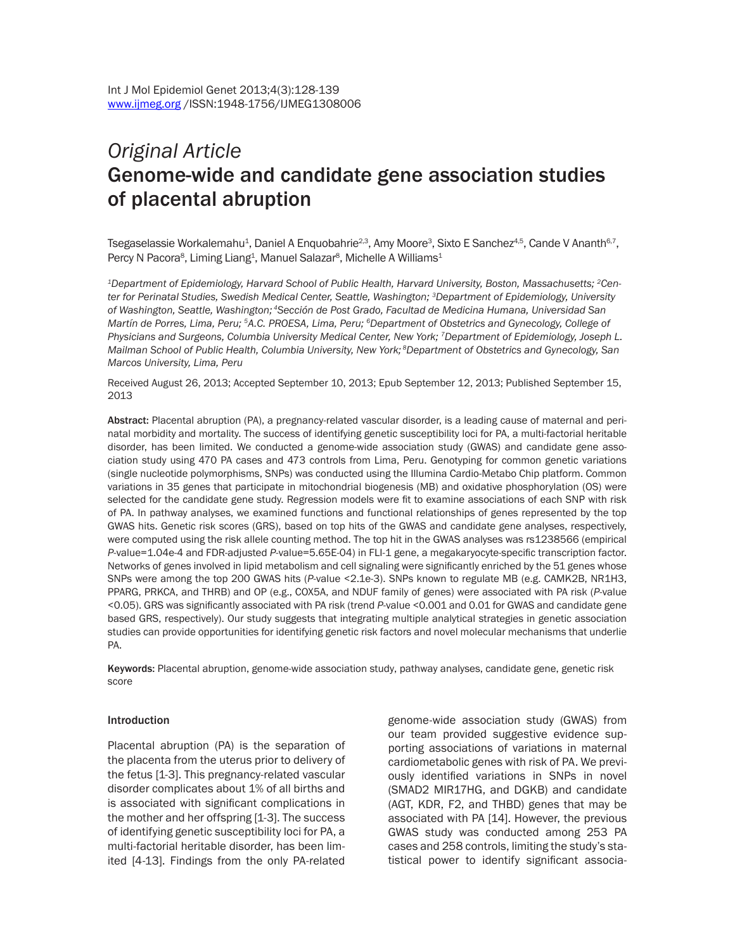# *Original Article* Genome-wide and candidate gene association studies of placental abruption

Tsegaselassie Workalemahu<sup>1</sup>, Daniel A Enquobahrie<sup>2,3</sup>, Amy Moore<sup>3</sup>, Sixto E Sanchez<sup>4,5</sup>, Cande V Ananth<sup>6,7</sup>, Percy N Pacora $^{\rm 8}$ , Liming Liang $^{\rm 1}$ , Manuel Salazar $^{\rm 8}$ , Michelle A Williams $^{\rm 1}$ 

*1Department of Epidemiology, Harvard School of Public Health, Harvard University, Boston, Massachusetts; 2Center for Perinatal Studies, Swedish Medical Center, Seattle, Washington; 3Department of Epidemiology, University of Washington, Seattle, Washington; 4Sección de Post Grado, Facultad de Medicina Humana, Universidad San Martín de Porres, Lima, Peru; 5A.C. PROESA, Lima, Peru; 6Department of Obstetrics and Gynecology, College of Physicians and Surgeons, Columbia University Medical Center, New York; 7Department of Epidemiology, Joseph L. Mailman School of Public Health, Columbia University, New York; 8Department of Obstetrics and Gynecology, San Marcos University, Lima, Peru*

Received August 26, 2013; Accepted September 10, 2013; Epub September 12, 2013; Published September 15, 2013

Abstract: Placental abruption (PA), a pregnancy-related vascular disorder, is a leading cause of maternal and perinatal morbidity and mortality. The success of identifying genetic susceptibility loci for PA, a multi-factorial heritable disorder, has been limited. We conducted a genome-wide association study (GWAS) and candidate gene association study using 470 PA cases and 473 controls from Lima, Peru. Genotyping for common genetic variations (single nucleotide polymorphisms, SNPs) was conducted using the Illumina Cardio-Metabo Chip platform. Common variations in 35 genes that participate in mitochondrial biogenesis (MB) and oxidative phosphorylation (OS) were selected for the candidate gene study. Regression models were fit to examine associations of each SNP with risk of PA. In pathway analyses, we examined functions and functional relationships of genes represented by the top GWAS hits. Genetic risk scores (GRS), based on top hits of the GWAS and candidate gene analyses, respectively, were computed using the risk allele counting method. The top hit in the GWAS analyses was rs1238566 (empirical *P*-value=1.04e-4 and FDR-adjusted *P*-value=5.65E-04) in FLI-1 gene, a megakaryocyte-specific transcription factor. Networks of genes involved in lipid metabolism and cell signaling were significantly enriched by the 51 genes whose SNPs were among the top 200 GWAS hits (*P*-value <2.1e-3). SNPs known to regulate MB (e.g. CAMK2B, NR1H3, PPARG, PRKCA, and THRB) and OP (e.g., COX5A, and NDUF family of genes) were associated with PA risk (*P*-value <0.05). GRS was significantly associated with PA risk (trend *P*-value <0.001 and 0.01 for GWAS and candidate gene based GRS, respectively). Our study suggests that integrating multiple analytical strategies in genetic association studies can provide opportunities for identifying genetic risk factors and novel molecular mechanisms that underlie PA.

Keywords: Placental abruption, genome-wide association study, pathway analyses, candidate gene, genetic risk score

#### Introduction

Placental abruption (PA) is the separation of the placenta from the uterus prior to delivery of the fetus [1-3]. This pregnancy-related vascular disorder complicates about 1% of all births and is associated with significant complications in the mother and her offspring [1-3]. The success of identifying genetic susceptibility loci for PA, a multi-factorial heritable disorder, has been limited [4-13]. Findings from the only PA-related genome-wide association study (GWAS) from our team provided suggestive evidence supporting associations of variations in maternal cardiometabolic genes with risk of PA. We previously identified variations in SNPs in novel (SMAD2 MIR17HG, and DGKB) and candidate (AGT, KDR, F2, and THBD) genes that may be associated with PA [14]. However, the previous GWAS study was conducted among 253 PA cases and 258 controls, limiting the study's statistical power to identify significant associa-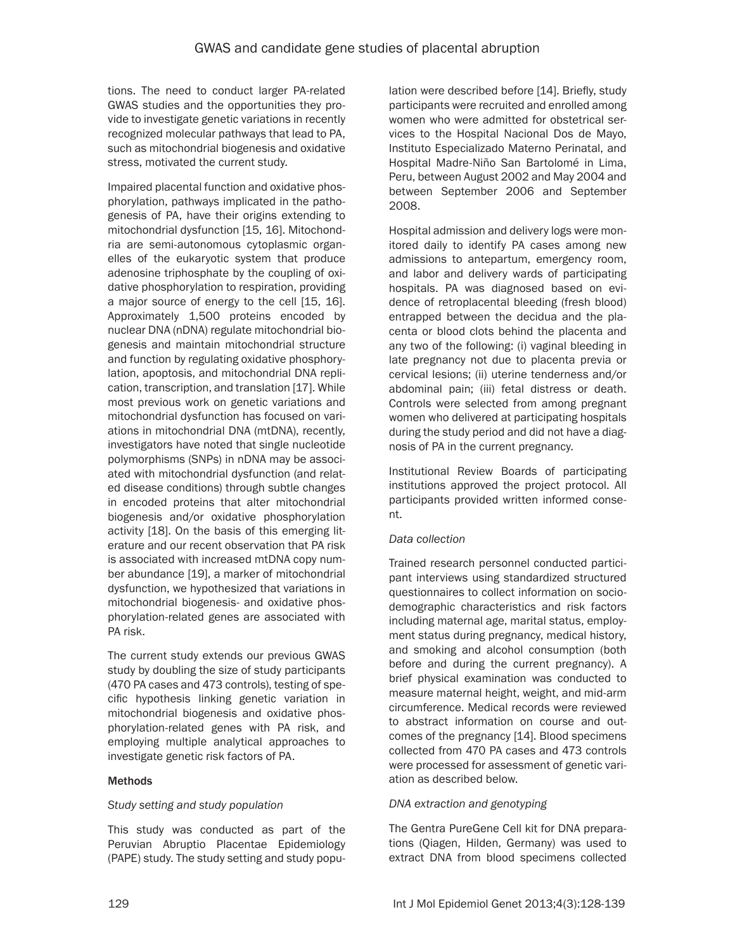tions. The need to conduct larger PA-related GWAS studies and the opportunities they provide to investigate genetic variations in recently recognized molecular pathways that lead to PA, such as mitochondrial biogenesis and oxidative stress, motivated the current study.

Impaired placental function and oxidative phosphorylation, pathways implicated in the pathogenesis of PA, have their origins extending to mitochondrial dysfunction [15, 16]. Mitochondria are semi-autonomous cytoplasmic organelles of the eukaryotic system that produce adenosine triphosphate by the coupling of oxidative phosphorylation to respiration, providing a major source of energy to the cell [15, 16]. Approximately 1,500 proteins encoded by nuclear DNA (nDNA) regulate mitochondrial biogenesis and maintain mitochondrial structure and function by regulating oxidative phosphorylation, apoptosis, and mitochondrial DNA replication, transcription, and translation [17]. While most previous work on genetic variations and mitochondrial dysfunction has focused on variations in mitochondrial DNA (mtDNA), recently, investigators have noted that single nucleotide polymorphisms (SNPs) in nDNA may be associated with mitochondrial dysfunction (and related disease conditions) through subtle changes in encoded proteins that alter mitochondrial biogenesis and/or oxidative phosphorylation activity [18]. On the basis of this emerging literature and our recent observation that PA risk is associated with increased mtDNA copy number abundance [19], a marker of mitochondrial dysfunction, we hypothesized that variations in mitochondrial biogenesis- and oxidative phosphorylation-related genes are associated with PA risk.

The current study extends our previous GWAS study by doubling the size of study participants (470 PA cases and 473 controls), testing of specific hypothesis linking genetic variation in mitochondrial biogenesis and oxidative phosphorylation-related genes with PA risk, and employing multiple analytical approaches to investigate genetic risk factors of PA.

# **Methods**

# *Study setting and study population*

This study was conducted as part of the Peruvian Abruptio Placentae Epidemiology (PAPE) study. The study setting and study population were described before [14]. Briefly, study participants were recruited and enrolled among women who were admitted for obstetrical services to the Hospital Nacional Dos de Mayo, Instituto Especializado Materno Perinatal, and Hospital Madre-Niño San Bartolomé in Lima, Peru, between August 2002 and May 2004 and between September 2006 and September 2008.

Hospital admission and delivery logs were monitored daily to identify PA cases among new admissions to antepartum, emergency room, and labor and delivery wards of participating hospitals. PA was diagnosed based on evidence of retroplacental bleeding (fresh blood) entrapped between the decidua and the placenta or blood clots behind the placenta and any two of the following: (i) vaginal bleeding in late pregnancy not due to placenta previa or cervical lesions; (ii) uterine tenderness and/or abdominal pain; (iii) fetal distress or death. Controls were selected from among pregnant women who delivered at participating hospitals during the study period and did not have a diagnosis of PA in the current pregnancy.

Institutional Review Boards of participating institutions approved the project protocol. All participants provided written informed consent.

#### *Data collection*

Trained research personnel conducted participant interviews using standardized structured questionnaires to collect information on sociodemographic characteristics and risk factors including maternal age, marital status, employment status during pregnancy, medical history, and smoking and alcohol consumption (both before and during the current pregnancy). A brief physical examination was conducted to measure maternal height, weight, and mid-arm circumference. Medical records were reviewed to abstract information on course and outcomes of the pregnancy [14]. Blood specimens collected from 470 PA cases and 473 controls were processed for assessment of genetic variation as described below.

#### *DNA extraction and genotyping*

The Gentra PureGene Cell kit for DNA preparations (Qiagen, Hilden, Germany) was used to extract DNA from blood specimens collected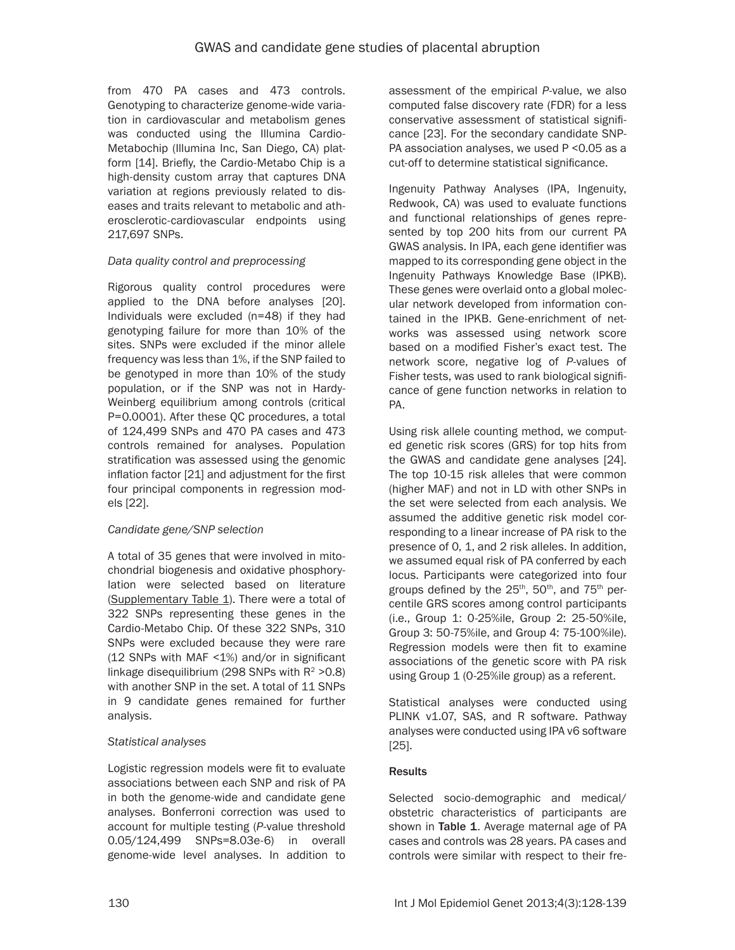from 470 PA cases and 473 controls. Genotyping to characterize genome-wide variation in cardiovascular and metabolism genes was conducted using the Illumina Cardio-Metabochip (Illumina Inc, San Diego, CA) platform [14]. Briefly, the Cardio-Metabo Chip is a high-density custom array that captures DNA variation at regions previously related to diseases and traits relevant to metabolic and atherosclerotic-cardiovascular endpoints using 217,697 SNPs.

# *Data quality control and preprocessing*

Rigorous quality control procedures were applied to the DNA before analyses [20]. Individuals were excluded (n=48) if they had genotyping failure for more than 10% of the sites. SNPs were excluded if the minor allele frequency was less than 1%, if the SNP failed to be genotyped in more than 10% of the study population, or if the SNP was not in Hardy-Weinberg equilibrium among controls (critical P=0.0001). After these QC procedures, a total of 124,499 SNPs and 470 PA cases and 473 controls remained for analyses. Population stratification was assessed using the genomic inflation factor [21] and adjustment for the first four principal components in regression models [22].

# *Candidate gene/SNP selection*

A total of 35 genes that were involved in mitochondrial biogenesis and oxidative phosphorylation were selected based on literature ([Supplementary Table 1\)](#page-12-0). There were a total of 322 SNPs representing these genes in the Cardio-Metabo Chip. Of these 322 SNPs, 310 SNPs were excluded because they were rare (12 SNPs with MAF <1%) and/or in significant linkage disequilibrium (298 SNPs with  $R^2 > 0.8$ ) with another SNP in the set. A total of 11 SNPs in 9 candidate genes remained for further analysis.

# *Statistical analyses*

Logistic regression models were fit to evaluate associations between each SNP and risk of PA in both the genome-wide and candidate gene analyses. Bonferroni correction was used to account for multiple testing (*P*-value threshold 0.05/124,499 SNPs=8.03e-6) in overall genome-wide level analyses. In addition to assessment of the empirical *P*-value, we also computed false discovery rate (FDR) for a less conservative assessment of statistical significance [23]. For the secondary candidate SNP-PA association analyses, we used P < 0.05 as a cut-off to determine statistical significance.

Ingenuity Pathway Analyses (IPA, Ingenuity, Redwook, CA) was used to evaluate functions and functional relationships of genes represented by top 200 hits from our current PA GWAS analysis. In IPA, each gene identifier was mapped to its corresponding gene object in the Ingenuity Pathways Knowledge Base (IPKB). These genes were overlaid onto a global molecular network developed from information contained in the IPKB. Gene-enrichment of networks was assessed using network score based on a modified Fisher's exact test. The network score, negative log of *P*-values of Fisher tests, was used to rank biological significance of gene function networks in relation to PA.

Using risk allele counting method, we computed genetic risk scores (GRS) for top hits from the GWAS and candidate gene analyses [24]. The top 10-15 risk alleles that were common (higher MAF) and not in LD with other SNPs in the set were selected from each analysis. We assumed the additive genetic risk model corresponding to a linear increase of PA risk to the presence of 0, 1, and 2 risk alleles. In addition, we assumed equal risk of PA conferred by each locus. Participants were categorized into four groups defined by the 25<sup>th</sup>, 50<sup>th</sup>, and 75<sup>th</sup> percentile GRS scores among control participants (i.e., Group 1: 0-25%ile, Group 2: 25-50%ile, Group 3: 50-75%ile, and Group 4: 75-100%ile). Regression models were then fit to examine associations of the genetic score with PA risk using Group 1 (0-25%ile group) as a referent.

Statistical analyses were conducted using PLINK v1.07, SAS, and R software. Pathway analyses were conducted using IPA v6 software [25].

# **Results**

Selected socio-demographic and medical/ obstetric characteristics of participants are shown in Table 1. Average maternal age of PA cases and controls was 28 years. PA cases and controls were similar with respect to their fre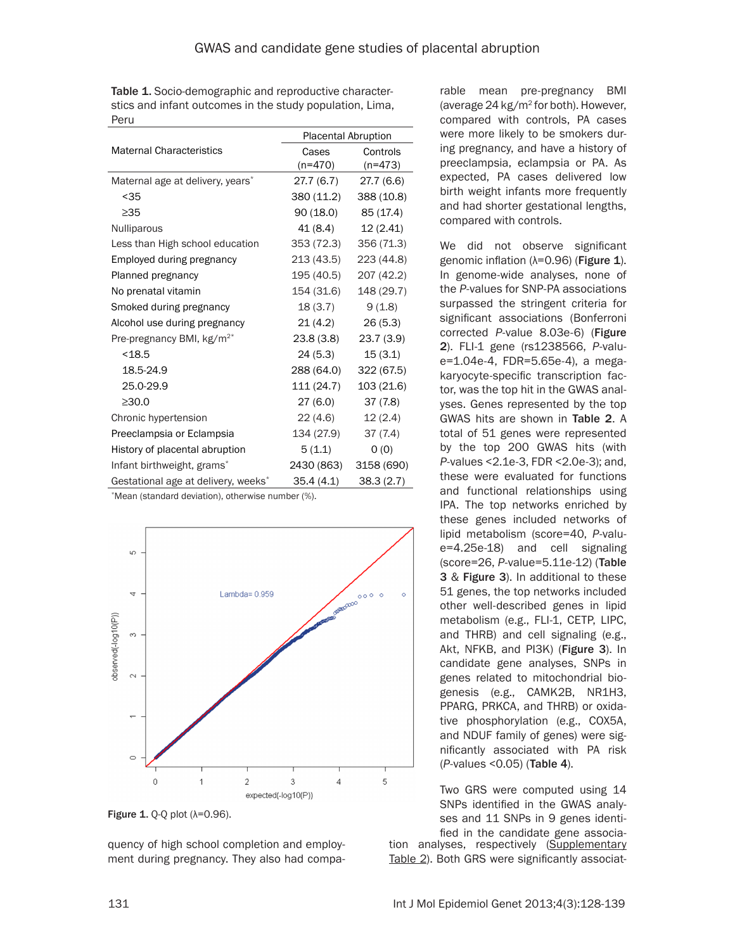Table 1. Socio-demographic and reproductive characterstics and infant outcomes in the study population, Lima, Peru

|                                                 | <b>Placental Abruption</b> |            |  |  |
|-------------------------------------------------|----------------------------|------------|--|--|
| <b>Maternal Characteristics</b>                 | Cases                      | Controls   |  |  |
|                                                 | $(n=470)$                  | $(n=473)$  |  |  |
| Maternal age at delivery, years*                | 27.7 (6.7)                 | 27.7 (6.6) |  |  |
| $35$                                            | 380 (11.2)                 | 388 (10.8) |  |  |
| $\geq$ 35                                       | 90 (18.0)                  | 85 (17.4)  |  |  |
| Nulliparous                                     | 41 (8.4)                   | 12(2.41)   |  |  |
| Less than High school education                 | 353 (72.3)                 | 356 (71.3) |  |  |
| Employed during pregnancy                       | 213 (43.5)                 | 223 (44.8) |  |  |
| Planned pregnancy                               | 195 (40.5)                 | 207 (42.2) |  |  |
| No prenatal vitamin                             | 154 (31.6)                 | 148 (29.7) |  |  |
| Smoked during pregnancy                         | 18(3.7)                    | 9(1.8)     |  |  |
| Alcohol use during pregnancy                    | 21(4.2)                    | 26(5.3)    |  |  |
| Pre-pregnancy BMI, kg/m <sup>2*</sup>           | 23.8 (3.8)                 | 23.7 (3.9) |  |  |
| < 18.5                                          | 24 (5.3)                   | 15(3.1)    |  |  |
| 18.5-24.9                                       | 288 (64.0)                 | 322 (67.5) |  |  |
| 25.0-29.9                                       | 111 (24.7)                 | 103 (21.6) |  |  |
| >30.0                                           | 27(6.0)                    | 37(7.8)    |  |  |
| Chronic hypertension                            | 22 (4.6)                   | 12(2.4)    |  |  |
| Preeclampsia or Eclampsia                       | 134 (27.9)                 | 37(7.4)    |  |  |
| History of placental abruption                  | 5(1.1)                     | 0(0)       |  |  |
| Infant birthweight, grams*                      | 2430 (863)                 | 3158 (690) |  |  |
| Gestational age at delivery, weeks <sup>*</sup> | 35.4(4.1)                  | 38.3(2.7)  |  |  |

\*Mean (standard deviation), otherwise number (%).



Figure 1.  $Q-Q$  plot ( $\lambda=0.96$ ).

quency of high school completion and employment during pregnancy. They also had compa-

rable mean pre-pregnancy BMI (average 24 kg/m2 for both). However, compared with controls, PA cases were more likely to be smokers during pregnancy, and have a history of preeclampsia, eclampsia or PA. As expected, PA cases delivered low birth weight infants more frequently and had shorter gestational lengths, compared with controls.

We did not observe significant genomic inflation (λ=0.96) (Figure 1). In genome-wide analyses, none of the *P*-values for SNP-PA associations surpassed the stringent criteria for significant associations (Bonferroni corrected *P*-value 8.03e-6) (Figure 2). FLI-1 gene (rs1238566, *P*-value=1.04e-4, FDR=5.65e-4), a megakaryocyte-specific transcription factor, was the top hit in the GWAS analyses. Genes represented by the top GWAS hits are shown in Table 2. A total of 51 genes were represented by the top 200 GWAS hits (with *P*-values <2.1e-3, FDR <2.0e-3); and, these were evaluated for functions and functional relationships using IPA. The top networks enriched by these genes included networks of lipid metabolism (score=40, *P*-value=4.25e-18) and cell signaling (score=26, *P*-value=5.11e-12) (Table 3 & Figure 3). In additional to these 51 genes, the top networks included other well-described genes in lipid metabolism (e.g., FLI-1, CETP, LIPC, and THRB) and cell signaling (e.g., Akt, NFKB, and PI3K) (Figure 3). In candidate gene analyses, SNPs in genes related to mitochondrial biogenesis (e.g., CAMK2B, NR1H3, PPARG, PRKCA, and THRB) or oxidative phosphorylation (e.g., COX5A, and NDUF family of genes) were significantly associated with PA risk (*P*-values <0.05) (Table 4).

Two GRS were computed using 14 SNPs identified in the GWAS analyses and 11 SNPs in 9 genes identi-

fied in the candidate gene association analyses, respectively [\(Supplementary](#page-13-0) [Table 2](#page-13-0)). Both GRS were significantly associat-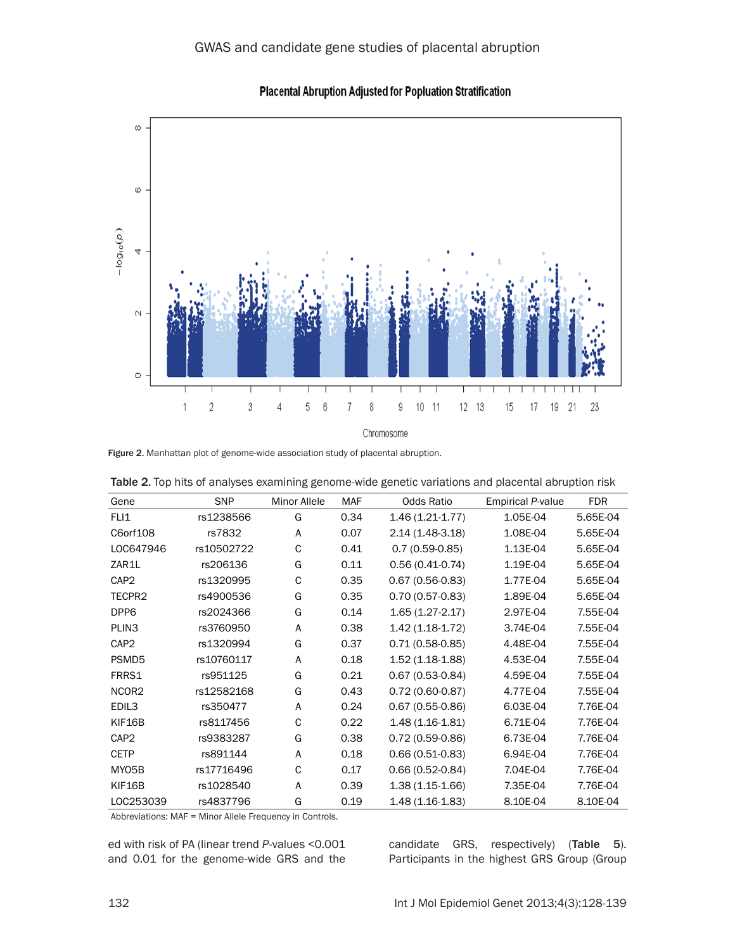

Placental Abruption Adjusted for Popluation Stratification

Figure 2. Manhattan plot of genome-wide association study of placental abruption.

| Gene              | <b>SNP</b> | <b>Minor Allele</b> | <b>MAF</b> | Odds Ratio          | <b>Empirical P-value</b> | <b>FDR</b> |
|-------------------|------------|---------------------|------------|---------------------|--------------------------|------------|
| FLI1              | rs1238566  | G                   | 0.34       | $1.46(1.21-1.77)$   | 1.05E-04                 | 5.65E-04   |
| C6orf108          | rs7832     | A                   | 0.07       | 2.14 (1.48-3.18)    | 1.08E-04                 | 5.65E-04   |
| LOC647946         | rs10502722 | C                   | 0.41       | $0.7(0.59-0.85)$    | 1.13E-04                 | 5.65E-04   |
| ZAR1L             | rs206136   | G                   | 0.11       | $0.56(0.41-0.74)$   | 1.19E-04                 | 5.65E-04   |
| CAP <sub>2</sub>  | rs1320995  | C                   | 0.35       | $0.67(0.56-0.83)$   | 1.77E-04                 | 5.65E-04   |
| TECPR2            | rs4900536  | G                   | 0.35       | $0.70(0.57-0.83)$   | 1.89E-04                 | 5.65E-04   |
| DPP6              | rs2024366  | G                   | 0.14       | $1.65(1.27-2.17)$   | 2.97E-04                 | 7.55E-04   |
| PLIN <sub>3</sub> | rs3760950  | A                   | 0.38       | $1.42(1.18-1.72)$   | 3.74E-04                 | 7.55E-04   |
| CAP <sub>2</sub>  | rs1320994  | G                   | 0.37       | $0.71(0.58-0.85)$   | 4.48E-04                 | 7.55E-04   |
| PSMD <sub>5</sub> | rs10760117 | A                   | 0.18       | 1.52 (1.18-1.88)    | 4.53E-04                 | 7.55E-04   |
| FRRS1             | rs951125   | G                   | 0.21       | $0.67(0.53 - 0.84)$ | 4.59E-04                 | 7.55E-04   |
| NCOR <sub>2</sub> | rs12582168 | G                   | 0.43       | $0.72(0.60 - 0.87)$ | 4.77E-04                 | 7.55E-04   |
| EDIL3             | rs350477   | A                   | 0.24       | $0.67(0.55-0.86)$   | 6.03E-04                 | 7.76E-04   |
| KIF16B            | rs8117456  | C                   | 0.22       | $1.48(1.16-1.81)$   | 6.71E-04                 | 7.76E-04   |
| CAP <sub>2</sub>  | rs9383287  | G                   | 0.38       | $0.72(0.59-0.86)$   | 6.73E-04                 | 7.76E-04   |
| <b>CETP</b>       | rs891144   | A                   | 0.18       | $0.66(0.51-0.83)$   | 6.94E-04                 | 7.76E-04   |
| MY05B             | rs17716496 | C                   | 0.17       | $0.66(0.52 - 0.84)$ | 7.04E-04                 | 7.76E-04   |
| KIF16B            | rs1028540  | A                   | 0.39       | 1.38 (1.15-1.66)    | 7.35E-04                 | 7.76E-04   |
| LOC253039         | rs4837796  | G                   | 0.19       | $1.48(1.16-1.83)$   | 8.10E-04                 | 8.10E-04   |

Table 2. Top hits of analyses examining genome-wide genetic variations and placental abruption risk

Abbreviations: MAF = Minor Allele Frequency in Controls.

ed with risk of PA (linear trend *P*-values <0.001 and 0.01 for the genome-wide GRS and the

candidate GRS, respectively) (Table 5). Participants in the highest GRS Group (Group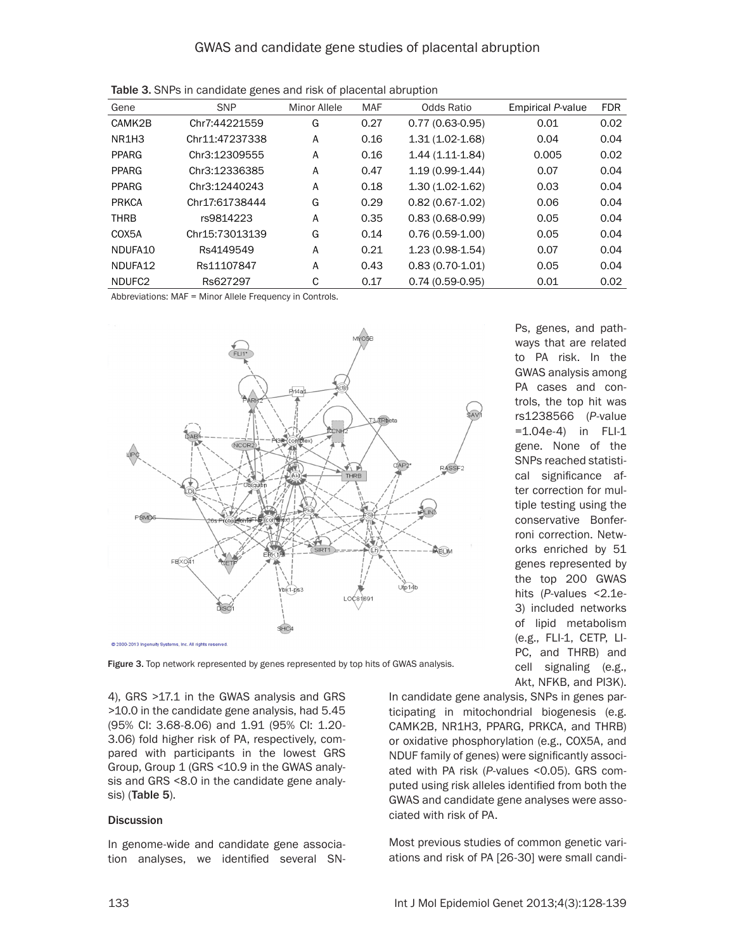| Gene               | <b>SNP</b>     | <b>Minor Allele</b> | <b>MAF</b> | Odds Ratio          | <b>Empirical P-value</b> | <b>FDR</b> |
|--------------------|----------------|---------------------|------------|---------------------|--------------------------|------------|
| CAMK2B             | Chr7:44221559  | G                   | 0.27       | $0.77(0.63-0.95)$   | 0.01                     | 0.02       |
| NR1H3              | Chr11:47237338 | A                   | 0.16       | $1.31(1.02 - 1.68)$ | 0.04                     | 0.04       |
| <b>PPARG</b>       | Chr3:12309555  | A                   | 0.16       | $1.44(1.11-1.84)$   | 0.005                    | 0.02       |
| <b>PPARG</b>       | Chr3:12336385  | A                   | 0.47       | $1.19(0.99-1.44)$   | 0.07                     | 0.04       |
| <b>PPARG</b>       | Chr3:12440243  | A                   | 0.18       | $1.30(1.02-1.62)$   | 0.03                     | 0.04       |
| <b>PRKCA</b>       | Chr17:61738444 | G                   | 0.29       | $0.82(0.67 - 1.02)$ | 0.06                     | 0.04       |
| <b>THRB</b>        | rs9814223      | A                   | 0.35       | $0.83(0.68-0.99)$   | 0.05                     | 0.04       |
| COX5A              | Chr15:73013139 | G                   | 0.14       | $0.76(0.59-1.00)$   | 0.05                     | 0.04       |
| NDUFA10            | Rs4149549      | A                   | 0.21       | $1.23(0.98-1.54)$   | 0.07                     | 0.04       |
| NDUFA12            | Rs11107847     | A                   | 0.43       | $0.83(0.70-1.01)$   | 0.05                     | 0.04       |
| NDUFC <sub>2</sub> | Rs627297       | С                   | 0.17       | $0.74(0.59-0.95)$   | 0.01                     | 0.02       |

Table 3. SNPs in candidate genes and risk of placental abruption

Abbreviations: MAF = Minor Allele Frequency in Controls.



Figure 3. Top network represented by genes represented by top hits of GWAS analysis.

4), GRS >17.1 in the GWAS analysis and GRS >10.0 in the candidate gene analysis, had 5.45 (95% CI: 3.68-8.06) and 1.91 (95% CI: 1.20- 3.06) fold higher risk of PA, respectively, compared with participants in the lowest GRS Group, Group 1 (GRS <10.9 in the GWAS analysis and GRS <8.0 in the candidate gene analysis) (Table 5).

#### **Discussion**

In genome-wide and candidate gene association analyses, we identified several SN- Ps, genes, and pathways that are related to PA risk. In the GWAS analysis among PA cases and controls, the top hit was rs1238566 (*P*-value =1.04e-4) in FLI-1 gene. None of the SNPs reached statistical significance after correction for multiple testing using the conservative Bonferroni correction. Networks enriched by 51 genes represented by the top 200 GWAS hits (P-values <2.1e-3) included networks of lipid metabolism (e.g., FLI-1, CETP, LI-PC, and THRB) and cell signaling (e.g., Akt, NFKB, and PI3K).

In candidate gene analysis, SNPs in genes participating in mitochondrial biogenesis (e.g. CAMK2B, NR1H3, PPARG, PRKCA, and THRB) or oxidative phosphorylation (e.g., COX5A, and NDUF family of genes) were significantly associated with PA risk (*P*-values <0.05). GRS computed using risk alleles identified from both the GWAS and candidate gene analyses were associated with risk of PA.

Most previous studies of common genetic variations and risk of PA [26-30] were small candi-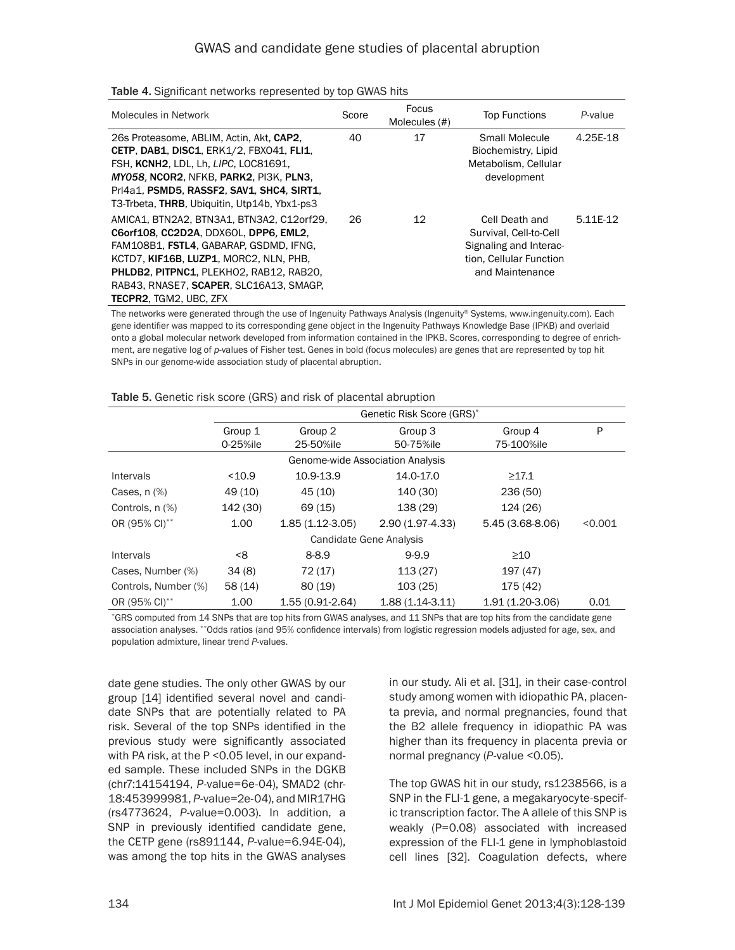| Molecules in Network                                                                                                                                                                                                                                                                          | Score | Focus<br>Molecules (#) | <b>Top Functions</b>                                                                                             | P-value  |
|-----------------------------------------------------------------------------------------------------------------------------------------------------------------------------------------------------------------------------------------------------------------------------------------------|-------|------------------------|------------------------------------------------------------------------------------------------------------------|----------|
| 26s Proteasome, ABLIM, Actin, Akt. CAP2.<br><b>CETP, DAB1, DISC1, ERK1/2, FBX041, FLI1,</b><br>FSH, KCNH2, LDL, Lh, LIPC, LOC81691,<br>MY058, NCOR2, NFKB, PARK2, PI3K, PLN3,<br>Pri4a1, PSMD5, RASSF2, SAV1, SHC4, SIRT1,<br>T3-Trbeta, THRB, Ubiquitin, Utp14b, Ybx1-ps3                    | 40    | 17                     | Small Molecule<br>Biochemistry, Lipid<br>Metabolism. Cellular<br>development                                     | 4.25E-18 |
| AMICA1, BTN2A2, BTN3A1, BTN3A2, C12orf29,<br>C6orf108, CC2D2A, DDX60L, DPP6, EML2,<br>FAM108B1, FSTL4, GABARAP, GSDMD, IFNG,<br>KCTD7, KIF16B, LUZP1, MORC2, NLN, PHB.<br>PHLDB2, PITPNC1, PLEKHO2, RAB12, RAB20,<br>RAB43, RNASE7, SCAPER, SLC16A13, SMAGP,<br><b>TECPR2. TGM2. UBC. ZFX</b> | 26    | 12                     | Cell Death and<br>Survival, Cell-to-Cell<br>Signaling and Interac-<br>tion, Cellular Function<br>and Maintenance | 5.11E-12 |

Table 4. Significant networks represented by top GWAS hits

The networks were generated through the use of Ingenuity Pathways Analysis (Ingenuity® Systems, www.ingenuity.com). Each gene identifier was mapped to its corresponding gene object in the Ingenuity Pathways Knowledge Base (IPKB) and overlaid onto a global molecular network developed from information contained in the IPKB. Scores, corresponding to degree of enrichment, are negative log of *p*-values of Fisher test. Genes in bold (focus molecules) are genes that are represented by top hit SNPs in our genome-wide association study of placental abruption.

|                      | Genetic Risk Score (GRS)* |                                  |                      |                       |         |  |
|----------------------|---------------------------|----------------------------------|----------------------|-----------------------|---------|--|
|                      | Group 1<br>0-25%ile       | Group 2<br>25-50%ile             | Group 3<br>50-75%ile | Group 4<br>75-100%ile | P       |  |
|                      |                           | Genome-wide Association Analysis |                      |                       |         |  |
| Intervals            | $10.9$                    | 10.9-13.9                        | 14.0-17.0            | $\geq 17.1$           |         |  |
| Cases, $n$ $%$       | 49 (10)                   | 45 (10)                          | 140 (30)             | 236 (50)              |         |  |
| Controls, n (%)      | 142 (30)                  | 69 (15)                          | 138 (29)             | 124 (26)              |         |  |
| OR (95% CI)**        | 1.00                      | $1.85(1.12-3.05)$                | $2.90(1.97-4.33)$    | $5.45(3.68-8.06)$     | < 0.001 |  |
|                      |                           | Candidate Gene Analysis          |                      |                       |         |  |
| <b>Intervals</b>     | <8                        | $8 - 8.9$                        | $9 - 9.9$            | $\geq 10$             |         |  |
| Cases, Number (%)    | 34(8)                     | 72 (17)                          | 113(27)              | 197 (47)              |         |  |
| Controls, Number (%) | 58(14)                    | 80(19)                           | 103(25)              | 175 (42)              |         |  |
| OR (95% CI)**        | 1.00                      | $1.55(0.91-2.64)$                | $1.88(1.14-3.11)$    | 1.91 (1.20-3.06)      | 0.01    |  |

#### Table 5. Genetic risk score (GRS) and risk of placental abruption

\*GRS computed from 14 SNPs that are top hits from GWAS analyses, and 11 SNPs that are top hits from the candidate gene association analyses. \*\*Odds ratios (and 95% confidence intervals) from logistic regression models adjusted for age, sex, and population admixture, linear trend *P*-values.

date gene studies. The only other GWAS by our group [14] identified several novel and candidate SNPs that are potentially related to PA risk. Several of the top SNPs identified in the previous study were significantly associated with PA risk, at the P < 0.05 level, in our expanded sample. These included SNPs in the DGKB (chr7:14154194, *P*-value=6e-04), SMAD2 (chr-18:453999981, *P*-value=2e-04), and MIR17HG (rs4773624, *P*-value=0.003). In addition, a SNP in previously identified candidate gene, the CETP gene (rs891144, *P*-value=6.94E-04), was among the top hits in the GWAS analyses

in our study. Ali et al. [31], in their case-control study among women with idiopathic PA, placenta previa, and normal pregnancies, found that the B2 allele frequency in idiopathic PA was higher than its frequency in placenta previa or normal pregnancy (*P*-value <0.05).

The top GWAS hit in our study, rs1238566, is a SNP in the FLI-1 gene, a megakaryocyte-specific transcription factor. The A allele of this SNP is weakly (P=0.08) associated with increased expression of the FLI-1 gene in lymphoblastoid cell lines [32]. Coagulation defects, where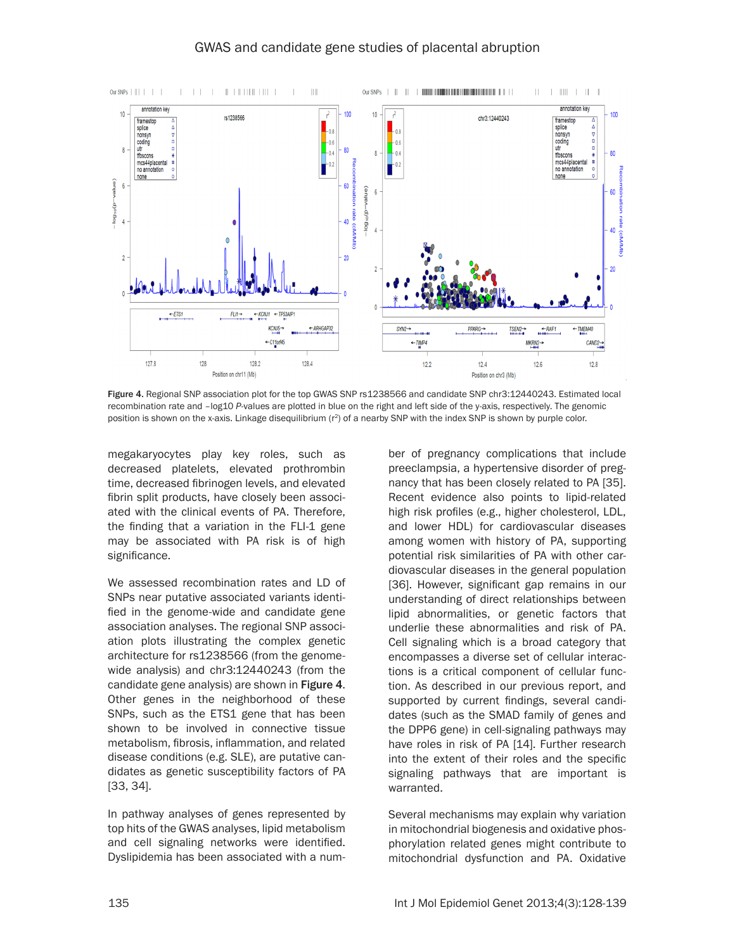

Figure 4. Regional SNP association plot for the top GWAS SNP rs1238566 and candidate SNP chr3:12440243. Estimated local recombination rate and –log10 *P*-values are plotted in blue on the right and left side of the y-axis, respectively. The genomic position is shown on the x-axis. Linkage disequilibrium (r<sup>2</sup>) of a nearby SNP with the index SNP is shown by purple color.

megakaryocytes play key roles, such as decreased platelets, elevated prothrombin time, decreased fibrinogen levels, and elevated fibrin split products, have closely been associated with the clinical events of PA. Therefore, the finding that a variation in the FLI-1 gene may be associated with PA risk is of high significance.

We assessed recombination rates and LD of SNPs near putative associated variants identified in the genome-wide and candidate gene association analyses. The regional SNP association plots illustrating the complex genetic architecture for rs1238566 (from the genomewide analysis) and chr3:12440243 (from the candidate gene analysis) are shown in Figure 4. Other genes in the neighborhood of these SNPs, such as the ETS1 gene that has been shown to be involved in connective tissue metabolism, fibrosis, inflammation, and related disease conditions (e.g. SLE), are putative candidates as genetic susceptibility factors of PA [33, 34].

In pathway analyses of genes represented by top hits of the GWAS analyses, lipid metabolism and cell signaling networks were identified. Dyslipidemia has been associated with a num-

ber of pregnancy complications that include preeclampsia, a hypertensive disorder of pregnancy that has been closely related to PA [35]. Recent evidence also points to lipid-related high risk profiles (e.g., higher cholesterol, LDL, and lower HDL) for cardiovascular diseases among women with history of PA, supporting potential risk similarities of PA with other cardiovascular diseases in the general population [36]. However, significant gap remains in our understanding of direct relationships between lipid abnormalities, or genetic factors that underlie these abnormalities and risk of PA. Cell signaling which is a broad category that encompasses a diverse set of cellular interactions is a critical component of cellular function. As described in our previous report, and supported by current findings, several candidates (such as the SMAD family of genes and the DPP6 gene) in cell-signaling pathways may have roles in risk of PA [14]. Further research into the extent of their roles and the specific signaling pathways that are important is warranted.

Several mechanisms may explain why variation in mitochondrial biogenesis and oxidative phosphorylation related genes might contribute to mitochondrial dysfunction and PA. Oxidative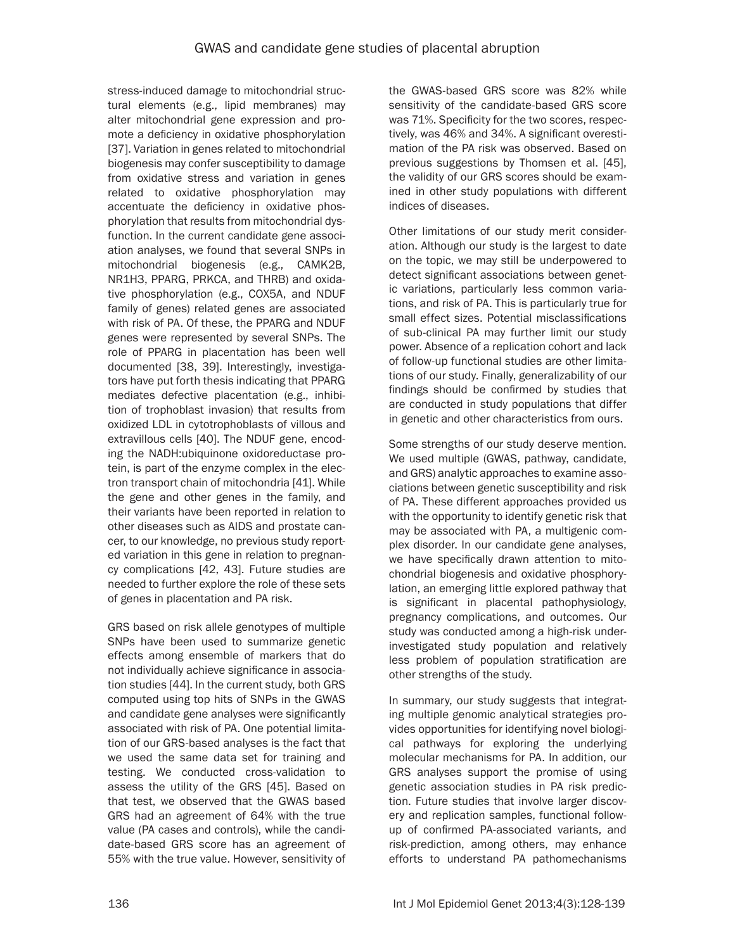stress-induced damage to mitochondrial structural elements (e.g., lipid membranes) may alter mitochondrial gene expression and promote a deficiency in oxidative phosphorylation [37]. Variation in genes related to mitochondrial biogenesis may confer susceptibility to damage from oxidative stress and variation in genes related to oxidative phosphorylation may accentuate the deficiency in oxidative phosphorylation that results from mitochondrial dysfunction. In the current candidate gene association analyses, we found that several SNPs in mitochondrial biogenesis (e.g., CAMK2B, NR1H3, PPARG, PRKCA, and THRB) and oxidative phosphorylation (e.g., COX5A, and NDUF family of genes) related genes are associated with risk of PA. Of these, the PPARG and NDUF genes were represented by several SNPs. The role of PPARG in placentation has been well documented [38, 39]. Interestingly, investigators have put forth thesis indicating that PPARG mediates defective placentation (e.g., inhibition of trophoblast invasion) that results from oxidized LDL in cytotrophoblasts of villous and extravillous cells [40]. The NDUF gene, encoding the NADH:ubiquinone oxidoreductase protein, is part of the enzyme complex in the electron transport chain of mitochondria [41]. While the gene and other genes in the family, and their variants have been reported in relation to other diseases such as AIDS and prostate cancer, to our knowledge, no previous study reported variation in this gene in relation to pregnancy complications [42, 43]. Future studies are needed to further explore the role of these sets of genes in placentation and PA risk.

GRS based on risk allele genotypes of multiple SNPs have been used to summarize genetic effects among ensemble of markers that do not individually achieve significance in association studies [44]. In the current study, both GRS computed using top hits of SNPs in the GWAS and candidate gene analyses were significantly associated with risk of PA. One potential limitation of our GRS-based analyses is the fact that we used the same data set for training and testing. We conducted cross-validation to assess the utility of the GRS [45]. Based on that test, we observed that the GWAS based GRS had an agreement of 64% with the true value (PA cases and controls), while the candidate-based GRS score has an agreement of 55% with the true value. However, sensitivity of the GWAS-based GRS score was 82% while sensitivity of the candidate-based GRS score was 71%. Specificity for the two scores, respectively, was 46% and 34%. A significant overestimation of the PA risk was observed. Based on previous suggestions by Thomsen et al. [45], the validity of our GRS scores should be examined in other study populations with different indices of diseases.

Other limitations of our study merit consideration. Although our study is the largest to date on the topic, we may still be underpowered to detect significant associations between genetic variations, particularly less common variations, and risk of PA. This is particularly true for small effect sizes. Potential misclassifications of sub-clinical PA may further limit our study power. Absence of a replication cohort and lack of follow-up functional studies are other limitations of our study. Finally, generalizability of our findings should be confirmed by studies that are conducted in study populations that differ in genetic and other characteristics from ours.

Some strengths of our study deserve mention. We used multiple (GWAS, pathway, candidate, and GRS) analytic approaches to examine associations between genetic susceptibility and risk of PA. These different approaches provided us with the opportunity to identify genetic risk that may be associated with PA, a multigenic complex disorder. In our candidate gene analyses, we have specifically drawn attention to mitochondrial biogenesis and oxidative phosphorylation, an emerging little explored pathway that is significant in placental pathophysiology, pregnancy complications, and outcomes. Our study was conducted among a high-risk underinvestigated study population and relatively less problem of population stratification are other strengths of the study.

In summary, our study suggests that integrating multiple genomic analytical strategies provides opportunities for identifying novel biological pathways for exploring the underlying molecular mechanisms for PA. In addition, our GRS analyses support the promise of using genetic association studies in PA risk prediction. Future studies that involve larger discovery and replication samples, functional followup of confirmed PA-associated variants, and risk-prediction, among others, may enhance efforts to understand PA pathomechanisms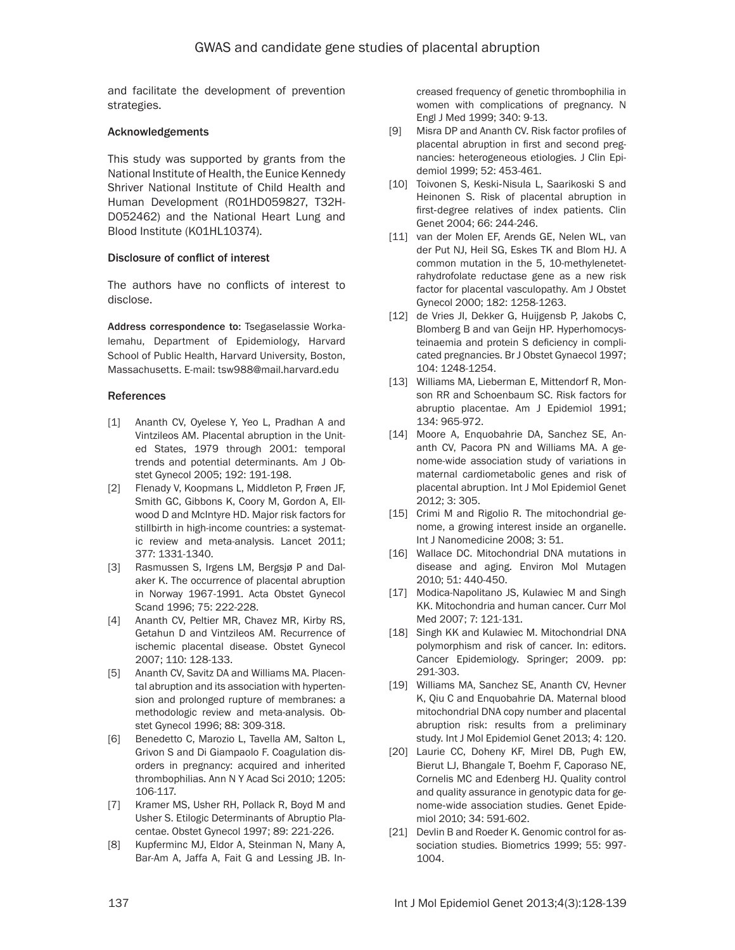and facilitate the development of prevention strategies.

#### Acknowledgements

This study was supported by grants from the National Institute of Health, the Eunice Kennedy Shriver National Institute of Child Health and Human Development (R01HD059827, T32H-D052462) and the National Heart Lung and Blood Institute (K01HL10374).

## Disclosure of conflict of interest

The authors have no conflicts of interest to disclose.

Address correspondence to: Tsegaselassie Workalemahu, Department of Epidemiology, Harvard School of Public Health, Harvard University, Boston, Massachusetts. E-mail: tsw988@mail.harvard.edu

## References

- [1] Ananth CV, Oyelese Y, Yeo L, Pradhan A and Vintzileos AM. Placental abruption in the United States, 1979 through 2001: temporal trends and potential determinants. Am J Obstet Gynecol 2005; 192: 191-198.
- [2] Flenady V, Koopmans L, Middleton P, Frøen JF, Smith GC, Gibbons K, Coory M, Gordon A, Ellwood D and McIntyre HD. Major risk factors for stillbirth in high-income countries: a systematic review and meta-analysis. Lancet 2011; 377: 1331-1340.
- [3] Rasmussen S, Irgens LM, Bergsjø P and Dalaker K. The occurrence of placental abruption in Norway 1967-1991. Acta Obstet Gynecol Scand 1996; 75: 222-228.
- [4] Ananth CV, Peltier MR, Chavez MR, Kirby RS, Getahun D and Vintzileos AM. Recurrence of ischemic placental disease. Obstet Gynecol 2007; 110: 128-133.
- [5] Ananth CV, Savitz DA and Williams MA. Placental abruption and its association with hypertension and prolonged rupture of membranes: a methodologic review and meta-analysis. Obstet Gynecol 1996; 88: 309-318.
- [6] Benedetto C, Marozio L, Tavella AM, Salton L, Grivon S and Di Giampaolo F. Coagulation disorders in pregnancy: acquired and inherited thrombophilias. Ann N Y Acad Sci 2010; 1205: 106-117.
- [7] Kramer MS, Usher RH, Pollack R, Boyd M and Usher S. Etilogic Determinants of Abruptio Placentae. Obstet Gynecol 1997; 89: 221-226.
- [8] Kupferminc MJ, Eldor A, Steinman N, Many A, Bar-Am A, Jaffa A, Fait G and Lessing JB. In-

creased frequency of genetic thrombophilia in women with complications of pregnancy. N Engl J Med 1999; 340: 9-13.

- [9] Misra DP and Ananth CV. Risk factor profiles of placental abruption in first and second pregnancies: heterogeneous etiologies. J Clin Epidemiol 1999; 52: 453-461.
- [10] Toivonen S, Keski-Nisula L, Saarikoski S and Heinonen S. Risk of placental abruption in first‐degree relatives of index patients. Clin Genet 2004; 66: 244-246.
- [11] van der Molen EF, Arends GE, Nelen WL, van der Put NJ, Heil SG, Eskes TK and Blom HJ. A common mutation in the 5, 10-methylenetetrahydrofolate reductase gene as a new risk factor for placental vasculopathy. Am J Obstet Gynecol 2000; 182: 1258-1263.
- [12] de Vries JI, Dekker G, Huijgensb P, Jakobs C, Blomberg B and van Geijn HP. Hyperhomocysteinaemia and protein S deficiency in complicated pregnancies. Br J Obstet Gynaecol 1997; 104: 1248-1254.
- [13] Williams MA, Lieberman E, Mittendorf R, Monson RR and Schoenbaum SC. Risk factors for abruptio placentae. Am J Epidemiol 1991; 134: 965-972.
- [14] Moore A, Enquobahrie DA, Sanchez SE, Ananth CV, Pacora PN and Williams MA. A genome-wide association study of variations in maternal cardiometabolic genes and risk of placental abruption. Int J Mol Epidemiol Genet 2012; 3: 305.
- [15] Crimi M and Rigolio R. The mitochondrial genome, a growing interest inside an organelle. Int J Nanomedicine 2008; 3: 51.
- [16] Wallace DC. Mitochondrial DNA mutations in disease and aging. Environ Mol Mutagen 2010; 51: 440-450.
- [17] Modica-Napolitano JS, Kulawiec M and Singh KK. Mitochondria and human cancer. Curr Mol Med 2007; 7: 121-131.
- [18] Singh KK and Kulawiec M. Mitochondrial DNA polymorphism and risk of cancer. In: editors. Cancer Epidemiology. Springer; 2009. pp: 291-303.
- [19] Williams MA, Sanchez SE, Ananth CV, Hevner K, Qiu C and Enquobahrie DA. Maternal blood mitochondrial DNA copy number and placental abruption risk: results from a preliminary study. Int J Mol Epidemiol Genet 2013; 4: 120.
- [20] Laurie CC, Doheny KF, Mirel DB, Pugh EW, Bierut LJ, Bhangale T, Boehm F, Caporaso NE, Cornelis MC and Edenberg HJ. Quality control and quality assurance in genotypic data for genome‐wide association studies. Genet Epidemiol 2010; 34: 591-602.
- [21] Devlin B and Roeder K. Genomic control for association studies. Biometrics 1999; 55: 997- 1004.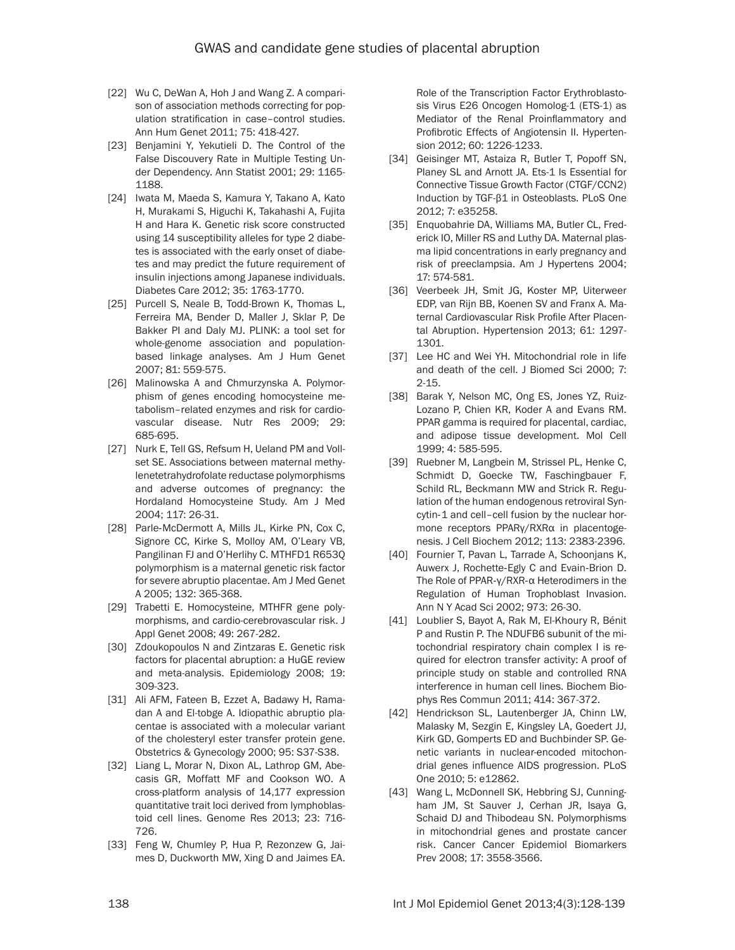- [22] Wu C, DeWan A, Hoh J and Wang Z. A comparison of association methods correcting for population stratification in case–control studies. Ann Hum Genet 2011; 75: 418-427.
- [23] Benjamini Y, Yekutieli D. The Control of the False Discouvery Rate in Multiple Testing Under Dependency. Ann Statist 2001; 29: 1165- 1188.
- [24] Iwata M, Maeda S, Kamura Y, Takano A, Kato H, Murakami S, Higuchi K, Takahashi A, Fujita H and Hara K. Genetic risk score constructed using 14 susceptibility alleles for type 2 diabetes is associated with the early onset of diabetes and may predict the future requirement of insulin injections among Japanese individuals. Diabetes Care 2012; 35: 1763-1770.
- [25] Purcell S, Neale B, Todd-Brown K, Thomas L, Ferreira MA, Bender D, Maller J, Sklar P, De Bakker PI and Daly MJ. PLINK: a tool set for whole-genome association and populationbased linkage analyses. Am J Hum Genet 2007; 81: 559-575.
- [26] Malinowska A and Chmurzynska A. Polymorphism of genes encoding homocysteine metabolism–related enzymes and risk for cardiovascular disease. Nutr Res 2009; 29: 685-695.
- [27] Nurk E, Tell GS, Refsum H, Ueland PM and Vollset SE. Associations between maternal methylenetetrahydrofolate reductase polymorphisms and adverse outcomes of pregnancy: the Hordaland Homocysteine Study. Am J Med 2004; 117: 26-31.
- [28] Parle-McDermott A, Mills JL, Kirke PN, Cox C, Signore CC, Kirke S, Molloy AM, O'Leary VB, Pangilinan FJ and O'Herlihy C. MTHFD1 R653Q polymorphism is a maternal genetic risk factor for severe abruptio placentae. Am J Med Genet A 2005; 132: 365-368.
- [29] Trabetti E. Homocysteine, MTHFR gene polymorphisms, and cardio-cerebrovascular risk. J Appl Genet 2008; 49: 267-282.
- [30] Zdoukopoulos N and Zintzaras E. Genetic risk factors for placental abruption: a HuGE review and meta-analysis. Epidemiology 2008; 19: 309-323.
- [31] Ali AFM, Fateen B, Ezzet A, Badawy H, Ramadan A and El-tobge A. Idiopathic abruptio placentae is associated with a molecular variant of the cholesteryl ester transfer protein gene. Obstetrics & Gynecology 2000; 95: S37-S38.
- [32] Liang L, Morar N, Dixon AL, Lathrop GM, Abecasis GR, Moffatt MF and Cookson WO. A cross-platform analysis of 14,177 expression quantitative trait loci derived from lymphoblastoid cell lines. Genome Res 2013; 23: 716- 726.
- [33] Feng W, Chumley P, Hua P, Rezonzew G, Jaimes D, Duckworth MW, Xing D and Jaimes EA.

Role of the Transcription Factor Erythroblastosis Virus E26 Oncogen Homolog-1 (ETS-1) as Mediator of the Renal Proinflammatory and Profibrotic Effects of Angiotensin II. Hypertension 2012; 60: 1226-1233.

- [34] Geisinger MT, Astaiza R, Butler T, Popoff SN, Planey SL and Arnott JA. Ets-1 Is Essential for Connective Tissue Growth Factor (CTGF/CCN2) Induction by TGF-β1 in Osteoblasts. PLoS One 2012; 7: e35258.
- [35] Enquobahrie DA, Williams MA, Butler CL, Frederick IO, Miller RS and Luthy DA. Maternal plasma lipid concentrations in early pregnancy and risk of preeclampsia. Am J Hypertens 2004; 17: 574-581.
- [36] Veerbeek JH, Smit JG, Koster MP, Uiterweer EDP, van Rijn BB, Koenen SV and Franx A. Maternal Cardiovascular Risk Profile After Placental Abruption. Hypertension 2013; 61: 1297- 1301.
- [37] Lee HC and Wei YH. Mitochondrial role in life and death of the cell. J Biomed Sci 2000; 7: 2-15.
- [38] Barak Y, Nelson MC, Ong ES, Jones YZ, Ruiz-Lozano P, Chien KR, Koder A and Evans RM. PPAR gamma is required for placental, cardiac, and adipose tissue development. Mol Cell 1999; 4: 585-595.
- [39] Ruebner M, Langbein M, Strissel PL, Henke C, Schmidt D, Goecke TW, Faschingbauer F, Schild RL, Beckmann MW and Strick R. Regulation of the human endogenous retroviral Syncytin‐1 and cell–cell fusion by the nuclear hormone receptors PPARγ/RXRα in placentogenesis. J Cell Biochem 2012; 113: 2383-2396.
- [40] Fournier T, Pavan L, Tarrade A, Schoonjans K, Auwerx J, Rochette‐Egly C and Evain‐Brion D. The Role of PPAR‐γ/RXR‐α Heterodimers in the Regulation of Human Trophoblast Invasion. Ann N Y Acad Sci 2002; 973: 26-30.
- [41] Loublier S, Bayot A, Rak M, El-Khoury R, Bénit P and Rustin P. The NDUFB6 subunit of the mitochondrial respiratory chain complex I is required for electron transfer activity: A proof of principle study on stable and controlled RNA interference in human cell lines. Biochem Biophys Res Commun 2011; 414: 367-372.
- [42] Hendrickson SL, Lautenberger JA, Chinn LW, Malasky M, Sezgin E, Kingsley LA, Goedert JJ, Kirk GD, Gomperts ED and Buchbinder SP. Genetic variants in nuclear-encoded mitochondrial genes influence AIDS progression. PLoS One 2010; 5: e12862.
- [43] Wang L, McDonnell SK, Hebbring SJ, Cunningham JM, St Sauver J, Cerhan JR, Isaya G, Schaid DJ and Thibodeau SN. Polymorphisms in mitochondrial genes and prostate cancer risk. Cancer Cancer Epidemiol Biomarkers Prev 2008; 17: 3558-3566.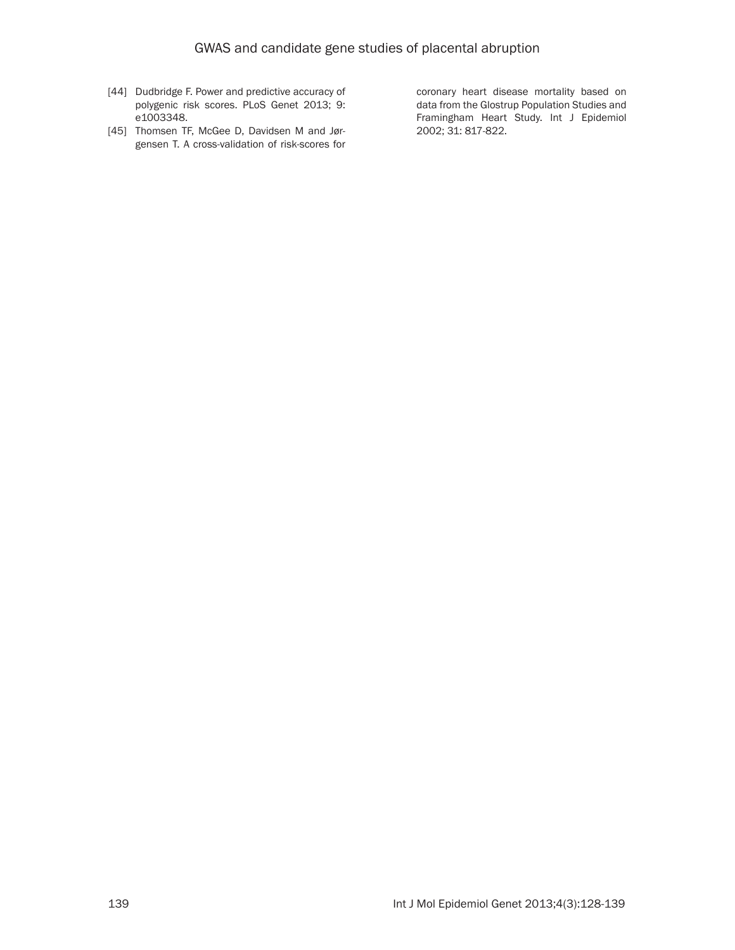- [44] Dudbridge F. Power and predictive accuracy of polygenic risk scores. PLoS Genet 2013; 9: e1003348.
- [45] Thomsen TF, McGee D, Davidsen M and Jørgensen T. A cross-validation of risk-scores for

coronary heart disease mortality based on data from the Glostrup Population Studies and Framingham Heart Study. Int J Epidemiol 2002; 31: 817-822.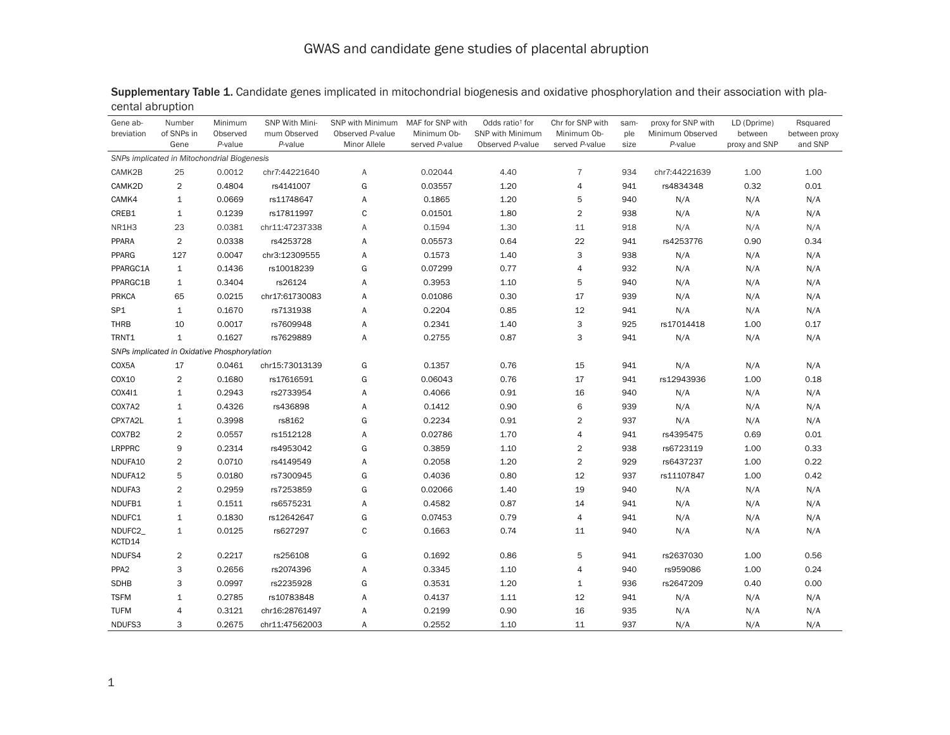| Gene ab-<br>breviation | Number<br>of SNPs in<br>Gene                 | Minimum<br>Observed<br>P-value | SNP With Mini-<br>mum Observed<br>P-value | SNP with Minimum<br>Observed P-value<br>Minor Allele | MAF for SNP with<br>Minimum Ob-<br>served P-value | Odds ratio <sup>+</sup> for<br><b>SNP with Minimum</b><br>Observed P-value | Chr for SNP with<br>Minimum Ob-<br>served P-value | sam-<br>ple<br>size | proxy for SNP with<br>Minimum Observed<br>P-value | LD (Dprime)<br>between<br>proxy and SNP | Rsquared<br>between proxy<br>and SNP |
|------------------------|----------------------------------------------|--------------------------------|-------------------------------------------|------------------------------------------------------|---------------------------------------------------|----------------------------------------------------------------------------|---------------------------------------------------|---------------------|---------------------------------------------------|-----------------------------------------|--------------------------------------|
|                        | SNPs implicated in Mitochondrial Biogenesis  |                                |                                           |                                                      |                                                   |                                                                            |                                                   |                     |                                                   |                                         |                                      |
| CAMK2B                 | 25                                           | 0.0012                         | chr7:44221640                             | Α                                                    | 0.02044                                           | 4.40                                                                       | $\overline{7}$                                    | 934                 | chr7:44221639                                     | 1.00                                    | 1.00                                 |
| CAMK2D                 | $\overline{2}$                               | 0.4804                         | rs4141007                                 | G                                                    | 0.03557                                           | 1.20                                                                       | $\overline{4}$                                    | 941                 | rs4834348                                         | 0.32                                    | 0.01                                 |
| CAMK4                  | $\mathbf{1}$                                 | 0.0669                         | rs11748647                                | Α                                                    | 0.1865                                            | 1.20                                                                       | 5                                                 | 940                 | N/A                                               | N/A                                     | N/A                                  |
| CREB1                  | $\mathbf{1}$                                 | 0.1239                         | rs17811997                                | C                                                    | 0.01501                                           | 1.80                                                                       | $\overline{2}$                                    | 938                 | N/A                                               | N/A                                     | N/A                                  |
| NR1H3                  | 23                                           | 0.0381                         | chr11:47237338                            | Α                                                    | 0.1594                                            | 1.30                                                                       | 11                                                | 918                 | N/A                                               | N/A                                     | N/A                                  |
| PPARA                  | $\overline{2}$                               | 0.0338                         | rs4253728                                 | Α                                                    | 0.05573                                           | 0.64                                                                       | 22                                                | 941                 | rs4253776                                         | 0.90                                    | 0.34                                 |
| PPARG                  | 127                                          | 0.0047                         | chr3:12309555                             | Α                                                    | 0.1573                                            | 1.40                                                                       | 3                                                 | 938                 | N/A                                               | N/A                                     | N/A                                  |
| PPARGC1A               | $\mathbf{1}$                                 | 0.1436                         | rs10018239                                | G                                                    | 0.07299                                           | 0.77                                                                       | $\overline{4}$                                    | 932                 | N/A                                               | N/A                                     | N/A                                  |
| PPARGC1B               | $\mathbf{1}$                                 | 0.3404                         | rs26124                                   | Α                                                    | 0.3953                                            | 1.10                                                                       | 5                                                 | 940                 | N/A                                               | N/A                                     | N/A                                  |
| <b>PRKCA</b>           | 65                                           | 0.0215                         | chr17:61730083                            | Α                                                    | 0.01086                                           | 0.30                                                                       | 17                                                | 939                 | N/A                                               | N/A                                     | N/A                                  |
| SP <sub>1</sub>        | $\mathbf{1}$                                 | 0.1670                         | rs7131938                                 | Α                                                    | 0.2204                                            | 0.85                                                                       | 12                                                | 941                 | N/A                                               | N/A                                     | N/A                                  |
| <b>THRB</b>            | 10                                           | 0.0017                         | rs7609948                                 | Α                                                    | 0.2341                                            | 1.40                                                                       | 3                                                 | 925                 | rs17014418                                        | 1.00                                    | 0.17                                 |
| TRNT1                  | $\mathbf{1}$                                 | 0.1627                         | rs7629889                                 | Α                                                    | 0.2755                                            | 0.87                                                                       | 3                                                 | 941                 | N/A                                               | N/A                                     | N/A                                  |
|                        | SNPs implicated in Oxidative Phosphorylation |                                |                                           |                                                      |                                                   |                                                                            |                                                   |                     |                                                   |                                         |                                      |
| COX5A                  | 17                                           | 0.0461                         | chr15:73013139                            | G                                                    | 0.1357                                            | 0.76                                                                       | 15                                                | 941                 | N/A                                               | N/A                                     | N/A                                  |
| COX10                  | $\overline{2}$                               | 0.1680                         | rs17616591                                | G                                                    | 0.06043                                           | 0.76                                                                       | 17                                                | 941                 | rs12943936                                        | 1.00                                    | 0.18                                 |
| COX411                 | $\mathbf{1}$                                 | 0.2943                         | rs2733954                                 | Α                                                    | 0.4066                                            | 0.91                                                                       | 16                                                | 940                 | N/A                                               | N/A                                     | N/A                                  |
| COX7A2                 | $\mathbf{1}$                                 | 0.4326                         | rs436898                                  | Α                                                    | 0.1412                                            | 0.90                                                                       | 6                                                 | 939                 | N/A                                               | N/A                                     | N/A                                  |
| CPX7A2L                | $\mathbf{1}$                                 | 0.3998                         | rs8162                                    | G                                                    | 0.2234                                            | 0.91                                                                       | $\overline{2}$                                    | 937                 | N/A                                               | N/A                                     | N/A                                  |
| COX7B2                 | $\overline{2}$                               | 0.0557                         | rs1512128                                 | А                                                    | 0.02786                                           | 1.70                                                                       | $\overline{4}$                                    | 941                 | rs4395475                                         | 0.69                                    | 0.01                                 |
| LRPPRC                 | 9                                            | 0.2314                         | rs4953042                                 | G                                                    | 0.3859                                            | 1.10                                                                       | $\overline{2}$                                    | 938                 | rs6723119                                         | 1.00                                    | 0.33                                 |
| NDUFA10                | $\overline{2}$                               | 0.0710                         | rs4149549                                 | Α                                                    | 0.2058                                            | 1.20                                                                       | $\overline{2}$                                    | 929                 | rs6437237                                         | 1.00                                    | 0.22                                 |
| NDUFA12                | 5                                            | 0.0180                         | rs7300945                                 | G                                                    | 0.4036                                            | 0.80                                                                       | 12                                                | 937                 | rs11107847                                        | 1.00                                    | 0.42                                 |
| NDUFA3                 | $\overline{2}$                               | 0.2959                         | rs7253859                                 | G                                                    | 0.02066                                           | 1.40                                                                       | 19                                                | 940                 | N/A                                               | N/A                                     | N/A                                  |
| NDUFB1                 | $\mathbf{1}$                                 | 0.1511                         | rs6575231                                 | Α                                                    | 0.4582                                            | 0.87                                                                       | 14                                                | 941                 | N/A                                               | N/A                                     | N/A                                  |
| NDUFC1                 | $\mathbf{1}$                                 | 0.1830                         | rs12642647                                | G                                                    | 0.07453                                           | 0.79                                                                       | $\overline{4}$                                    | 941                 | N/A                                               | N/A                                     | N/A                                  |
| NDUFC2<br>KCTD14       | $\mathbf{1}$                                 | 0.0125                         | rs627297                                  | C                                                    | 0.1663                                            | 0.74                                                                       | 11                                                | 940                 | N/A                                               | N/A                                     | N/A                                  |
| NDUFS4                 | $\overline{2}$                               | 0.2217                         | rs256108                                  | G                                                    | 0.1692                                            | 0.86                                                                       | 5                                                 | 941                 | rs2637030                                         | 1.00                                    | 0.56                                 |
| PPA <sub>2</sub>       | 3                                            | 0.2656                         | rs2074396                                 | А                                                    | 0.3345                                            | 1.10                                                                       | $\overline{4}$                                    | 940                 | rs959086                                          | 1.00                                    | 0.24                                 |
| <b>SDHB</b>            | 3                                            | 0.0997                         | rs2235928                                 | G                                                    | 0.3531                                            | 1.20                                                                       | 1                                                 | 936                 | rs2647209                                         | 0.40                                    | 0.00                                 |
| <b>TSFM</b>            | $\mathbf 1$                                  | 0.2785                         | rs10783848                                | Α                                                    | 0.4137                                            | 1.11                                                                       | 12                                                | 941                 | N/A                                               | N/A                                     | N/A                                  |
| <b>TUFM</b>            | $\overline{4}$                               | 0.3121                         | chr16:28761497                            | Α                                                    | 0.2199                                            | 0.90                                                                       | 16                                                | 935                 | N/A                                               | N/A                                     | N/A                                  |
| NDUFS3                 | 3                                            | 0.2675                         | chr11:47562003                            | A                                                    | 0.2552                                            | 1.10                                                                       | 11                                                | 937                 | N/A                                               | N/A                                     | N/A                                  |

<span id="page-12-0"></span>Supplementary Table 1. Candidate genes implicated in mitochondrial biogenesis and oxidative phosphorylation and their association with placental abruption